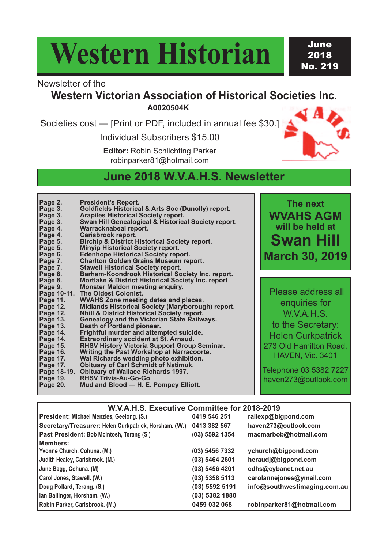# **Western Historian**

June 2018 No. 219

## Newsletter of the

# **Western Victorian Association of Historical Societies Inc.**

**A0020504K**

Societies cost — [Print or PDF, included in annual fee \$30.]

Individual Subscribers \$15.00

**Editor:** Robin Schlichting Parker robinparker81@hotmail.com



## **June 2018 W.V.A.H.S. Newsletter**

| Page 2.<br>Page 3.<br>Page 3.<br>Page 3.<br>Page 4.<br>Page 4.<br>Page 5.<br>Page 5.<br>Page 6.<br>Page 7. | <b>President's Report.</b><br><b>Goldfields Historical &amp; Arts Soc (Dunolly) report.</b><br><b>Arapiles Historical Society report.</b><br>Swan Hill Genealogical & Historical Society report.<br>Warracknabeal report.<br>Carisbrook report.<br><b>Birchip &amp; District Historical Society report.</b><br><b>Minyip Historical Society report.</b><br><b>Edenhope Historical Society report.</b><br><b>Charlton Golden Grains Museum report.</b> |
|------------------------------------------------------------------------------------------------------------|-------------------------------------------------------------------------------------------------------------------------------------------------------------------------------------------------------------------------------------------------------------------------------------------------------------------------------------------------------------------------------------------------------------------------------------------------------|
| Page 7.                                                                                                    | <b>Stawell Historical Society report.</b>                                                                                                                                                                                                                                                                                                                                                                                                             |
| Page 8.                                                                                                    | Barham-Koondrook Historical Society Inc. report.                                                                                                                                                                                                                                                                                                                                                                                                      |
| Page 8.                                                                                                    | Mortlake & District Historical Society Inc. report                                                                                                                                                                                                                                                                                                                                                                                                    |
| Page 9.                                                                                                    | <b>Monster Maldon meeting enquiry.</b>                                                                                                                                                                                                                                                                                                                                                                                                                |
| Page 10-11.                                                                                                | <b>The Oldest Colonist.</b>                                                                                                                                                                                                                                                                                                                                                                                                                           |
| Page 11.                                                                                                   | <b>WVAHS Zone meeting dates and places.</b>                                                                                                                                                                                                                                                                                                                                                                                                           |
| Page 12.                                                                                                   | <b>Midlands Historical Society (Maryborough) report.</b>                                                                                                                                                                                                                                                                                                                                                                                              |
| Page 12.                                                                                                   | <b>Nhill &amp; District Historical Society report.</b>                                                                                                                                                                                                                                                                                                                                                                                                |
| Page 13.                                                                                                   | <b>Genealogy and the Victorian State Railways.</b>                                                                                                                                                                                                                                                                                                                                                                                                    |
| Page 13.                                                                                                   | Death of Portland pioneer.                                                                                                                                                                                                                                                                                                                                                                                                                            |
| Page 14.                                                                                                   | Frightful murder and attempted suicide.                                                                                                                                                                                                                                                                                                                                                                                                               |
| Page 14.                                                                                                   | <b>Extraordinary accident at St. Arnaud.</b>                                                                                                                                                                                                                                                                                                                                                                                                          |
| Page 15.                                                                                                   | <b>RHSV History Victoria Support Group Seminar.</b>                                                                                                                                                                                                                                                                                                                                                                                                   |
| Page 16.                                                                                                   | <b>Writing the Past Workshop at Narracoorte.</b>                                                                                                                                                                                                                                                                                                                                                                                                      |
| Page 17.                                                                                                   | Wal Richards wedding photo exhibition.                                                                                                                                                                                                                                                                                                                                                                                                                |
| Page 17.                                                                                                   | <b>Obituary of Carl Schmidt of Natimuk.</b>                                                                                                                                                                                                                                                                                                                                                                                                           |
| Page 18-19.                                                                                                | <b>Obituary of Wallace Richards 1997.</b>                                                                                                                                                                                                                                                                                                                                                                                                             |
| <b>Page 19.</b>                                                                                            | <b>RHSV Trivia-Au-Go-Go</b>                                                                                                                                                                                                                                                                                                                                                                                                                           |
| <b>Page 20.</b>                                                                                            | Mud and Blood — H. E. Pompey Elliott.                                                                                                                                                                                                                                                                                                                                                                                                                 |

**The next WVAHS AGM will be held at Swan Hill March 30, 2019**

Please address all enquiries for W.V.A.H.S. to the Secretary: Helen Curkpatrick 273 Old Hamilton Road, HAVEN, Vic. 3401

Telephone 03 5382 7227 haven273@outlook.com

## **W.V.A.H.S. Executive Committee for 2018-2019**

|  | President: Michael Menzies, Geelong. (S.)             | 0419 546 251     | railexp@bigpond.com          |  |
|--|-------------------------------------------------------|------------------|------------------------------|--|
|  | Secretary/Treasurer: Helen Curkpatrick, Horsham. (W.) | 0413 382 567     | haven273@outlook.com         |  |
|  | Past President: Bob McIntosh, Terang (S.)             | (03) 5592 1354   | macmarbob@hotmail.com        |  |
|  | Members:<br>Yvonne Church, Cohuna. (M.)               | (03) 5456 7332   | ychurch@bigpond.com          |  |
|  | Judith Healey, Carisbrook. (M.)                       | (03) 5464 2601   | heraudj@bigpond.com          |  |
|  | June Bagg, Cohuna. (M)                                | (03) 5456 4201   | cdhs@cybanet.net.au          |  |
|  | Carol Jones, Stawell. (W.)                            | $(03)$ 5358 5113 | carolannejones@ymail.com     |  |
|  | Doug Pollard, Terang. (S.)                            | (03) 5592 5191   | info@southwestimaging.com.au |  |
|  | Ian Ballinger, Horsham. (W.)                          | (03) 5382 1880   |                              |  |
|  | Robin Parker, Carisbrook. (M.)                        | 0459 032 068     | robinparker81@hotmail.com    |  |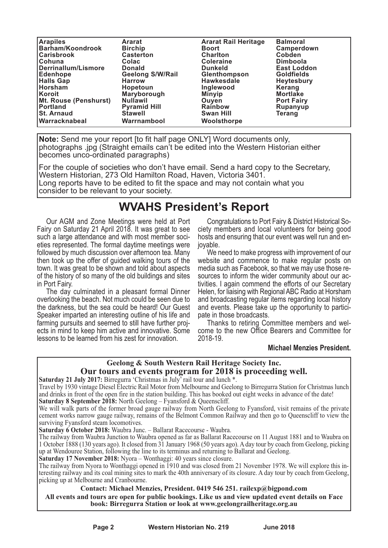| <b>Arapiles</b>         | <b>Ararat</b>           | <b>Ararat Rail Heritage</b> | <b>Balmoral</b>    |
|-------------------------|-------------------------|-----------------------------|--------------------|
| <b>Barham/Koondrook</b> | <b>Birchip</b>          | <b>Boort</b>                | Camperdown         |
| <b>Carisbrook</b>       | <b>Casterton</b>        | <b>Charlton</b>             | <b>Cobden</b>      |
| <b>ICohuna</b>          | Colac                   | <b>Coleraine</b>            | <b>Dimboola</b>    |
| Derrinallum/Lismore     | <b>Donald</b>           | <b>Dunkeld</b>              | <b>East Loddon</b> |
| Edenhope                | <b>Geelong S/W/Rail</b> | Glenthompson                | <b>Goldfields</b>  |
| <b>Halls Gap</b>        | <b>Harrow</b>           | Hawkesdale                  | <b>Heytesbury</b>  |
| Horsham                 | <b>Hopetoun</b>         | Inglewood                   | Kerang             |
| <b>Koroit</b>           | Maryborough             | <b>Minyip</b>               | <b>Mortlake</b>    |
| Mt. Rouse (Penshurst)   | <b>Nullawil</b>         | Ouven                       | <b>Port Fairy</b>  |
| Portland                | <b>Pyramid Hill</b>     | <b>Rainbow</b>              | <b>Rupanyup</b>    |
| <b>St. Arnaud</b>       | <b>Stawell</b>          | <b>Swan Hill</b>            | Teranq             |
| <b>Warracknabeal</b>    | Warrnambool             | Woolsthorpe                 |                    |

**Note:** Send me your report [to fit half page ONLY] Word documents only, photographs .jpg (Straight emails can't be edited into the Western Historian either becomes unco-ordinated paragraphs)

For the couple of societies who don't have email. Send a hard copy to the Secretary, Western Historian, 273 Old Hamilton Road, Haven, Victoria 3401. Long reports have to be edited to fit the space and may not contain what you consider to be relevant to your society.

## **WVAHS President's Report**

Our AGM and Zone Meetings were held at Port Fairy on Saturday 21 April 2018. It was great to see such a large attendance and with most member societies represented. The formal daytime meetings were followed by much discussion over afternoon tea. Many then took up the offer of guided walking tours of the town. It was great to be shown and told about aspects of the history of so many of the old buildings and sites in Port Fairy.

The day culminated in a pleasant formal Dinner overlooking the beach. Not much could be seen due to the darkness, but the sea could be heard! Our Guest Speaker imparted an interesting outline of his life and farming pursuits and seemed to still have further projects in mind to keep him active and innovative. Some lessons to be learned from his zest for innovation.

Congratulations to Port Fairy & District Historical Society members and local volunteers for being good hosts and ensuring that our event was well run and enjoyable.

We need to make progress with improvement of our website and commence to make regular posts on media such as Facebook, so that we may use those resources to inform the wider community about our activities. I again commend the efforts of our Secretary Helen, for liaising with Regional ABC Radio at Horsham and broadcasting regular items regarding local history and events. Please take up the opportunity to participate in those broadcasts.

Thanks to retiring Committee members and welcome to the new Office Bearers and Committee for 2018-19.

### **Michael Menzies President.**

## **Geelong & South Western Rail Heritage Society Inc. Our tours and events program for 2018 is proceeding well.**

**Saturday 21 July 2017:** Birregurra 'Christmas in July' rail tour and lunch \*.

Travel by 1930 vintage Diesel Electric Rail Motor from Melbourne and Geelong to Birregurra Station for Christmas lunch and drinks in front of the open fire in the station building. This has booked out eight weeks in advance of the date! **Saturday 8 September 2018:** North Geelong – Fyansford & Queenscliff.

We will walk parts of the former broad gauge railway from North Geelong to Fyansford, visit remains of the private cement works narrow gauge railway, remains of the Belmont Common Railway and then go to Queenscliff to view the surviving Fyansford steam locomotives.

**Saturday 6 October 2018:** Waubra Junc. – Ballarat Racecourse - Waubra.

The railway from Waubra Junction to Waubra opened as far as Ballarat Racecourse on 11 August 1881 and to Waubra on 1 October 1888 (130 years ago). It closed from 31 January 1968 (50 years ago). A day tour by coach from Geelong, picking up at Wendouree Station, following the line to its terminus and returning to Ballarat and Geelong.

**Saturday 17 November 2018:** Nyora – Wonthaggi: 40 years since closure.

The railway from Nyora to Wonthaggi opened in 1910 and was closed from 21 November 1978. We will explore this interesting railway and its coal mining sites to mark the 40th anniversary of its closure. A day tour by coach from Geelong, picking up at Melbourne and Cranbourne.

#### **Contact: Michael Menzies, President. 0419 546 251. railexp@bigpond.com All events and tours are open for public bookings. Like us and view updated event details on Face book: Birregurra Station or look at www.geelongrailheritage.org.au**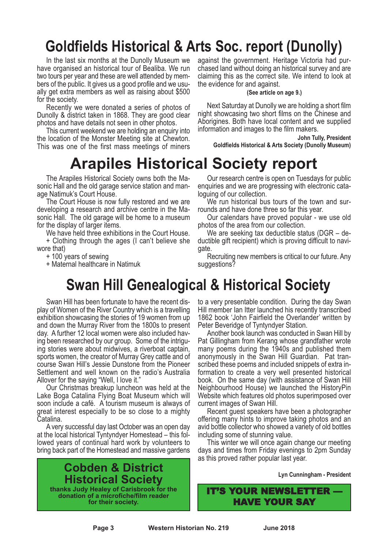# **Goldfields Historical & Arts Soc. report (Dunolly)**

In the last six months at the Dunolly Museum we have organised an historical tour of Bealiba. We run two tours per vear and these are well attended by members of the public. It gives us a good profile and we usu-<br>ally get extra members as well as raising about \$500

for the society. Recently we were donated <sup>a</sup> series of photos of Dunolly & district taken in 1868. They are good clear

photos and have details not seen in other photos. This current weekend we are holding an enquiry into the location of the Monster Meeting site at Chewton. This was one of the first mass meetings of miners

# **Arapiles Historical Society report**

The Arapiles Historical Society owns both the Masonic Hall and the old garage service station and manage Natimuk's Court House.

The Court House is now fully restored and we are developing a research and archive centre in the Masonic Hall. The old garage will be home to a museum for the display of larger items.

We have held three exhibitions in the Court House. + Clothing through the ages (I can't believe she

wore that)

+ 100 years of sewing

+ Maternal healthcare in Natimuk

against the government. Heritage Victoria had pur- chased land without doing an historical survey and are claiming this as the correct site. We intend to look at the evidence for and against.

**(See article on age 9.)**

Next Saturday at Dunolly we are holding a short film night showcasing two short films on the Chinese and Aborigines. Both have local content and we supplied information and images to the film makers.

**John Tully, President**

**Goldfields Historical & Arts Society (Dunolly Museum)**

Our research centre is open on Tuesdays for public enquiries and we are progressing with electronic cataloguing of our collection.

We run historical bus tours of the town and surrounds and have done three so far this year.

Our calendars have proved popular - we use old photos of the area from our collection.

We are seeking tax deductible status (DGR – deductible gift recipient) which is proving difficult to navigate.

Recruiting new members is critical to our future. Any suggestions?

# **Swan Hill Genealogical & Historical Society**

Swan Hill has been fortunate to have the recent dis- play of Women of the River Country which is <sup>a</sup> travelling exhibition showcasing the stories of 19 women from up and down the Murray River from the 1800s to present day. A further 12 local women were also included having been researched by our group. Some of the intriguing stories were about midwives, a riverboat captain, sports women, the creator of Murray Grey cattle and of course Swan Hill's Jessie Dunstone from the Pioneer Settlement and well known on the radio's Australia Allover for the saying "Well, I love it."

Our Christmas breakup luncheon was held at the Lake Boga Catalina Flying Boat Museum which will soon include a café. A tourism museum is always of great interest especially to be so close to a mighty Catalina.

A very successful day last October was an open day at the local historical Tyntyndyer Homestead – this fol- lowed years of continual hard work by volunteers to bring back part of the Homestead and massive gardens

**Cobden & District Historical Society thanks Judy Healey of Carisbrook for the donation of a microfiche/film reader for their society.**

to a very presentable condition. During the day Swan Hill member Ian Itter launched his recently transcribed 1862 book 'John Fairfield the Overlander' written by Peter Beveridge of Tyntyndyer Station.

Another book launch was conducted in Swan Hill by Pat Gillingham from Kerang whose grandfather wrote many poems during the 1940s and published them anonymously in the Swan Hill Guardian. Pat transcribed these poems and included snippets of extra information to create a very well presented historical book. On the same day (with assistance of Swan Hill Neighbourhood House) we launched the HistoryPin Website which features old photos superimposed over current images of Swan Hill. Recent guest speakers have been <sup>a</sup> photographer

offering many hints to improve taking photos and an avid bottle collector who showed a variety of old bottles including some of stunning value. This winter we will once again change our meeting

days and times from Friday evenings to 2pm Sunday as this proved rather popular last year.

**Lyn Cunningham - President**

IT'S YOUR NEWSLETTER — HAVE YOUR SAY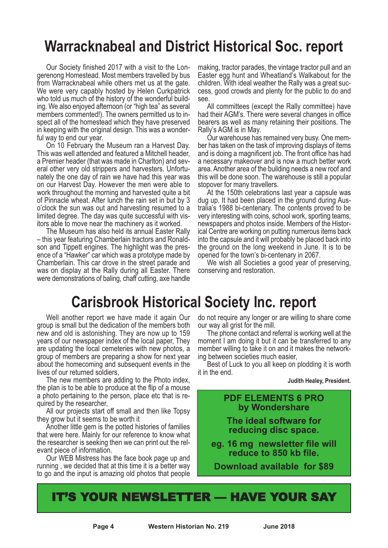# **Warracknabeal and District Historical Soc. report**

Our Society finished 2017 with a visit to the Lon-<br>gerenong Homestead. Most members travelled by bus<br>from Warracknabeal while others met us at the gate. We were very capably hosted by Helen Curkpatrick who told us much of the history of the wonderful building. We also enjoyed afternoon (or "high tea" as several members commented!). The owners permitted us to inspect all of the homestead which they have preserved in keeping with the original design. This was a wonderful way to end our year.

On 10 February the Museum ran a Harvest Day. This was well attended and featured a Mitchell header, a Premier header (that was made in Charlton) and several other very old strippers and harvesters. Unfortunately the one day of rain we have had this year was on our Harvest Day. However the men were able to work throughout the morning and harvested quite a bit of Pinnacle wheat. After lunch the rain set in but by 3 o'clock the sun was out and harvesting resumed to a limited degree. The day was quite successful with visitors able to move near the machinery as it worked.

The Museum has also held its annual Easter Rally – this year featuring Chamberlain tractors and Ronaldson and Tippett engines. The highlight was the presence of a "Hawker" car which was a prototype made by Chamberlain. This car drove in the street parade and was on display at the Rally during all Easter. There were demonstrations of baling, chaff cutting, axe handle

making, tractor parades, the vintage tractor pull and an Easter egg hunt and Wheatland's Walkabout for the children. With ideal weather the Rally was <sup>a</sup> great suc- cess, good crowds and plenty for the public to do and see.

All committees (except the Rally committee) have had their AGM's. There were several changes in office bearers as well as many retaining their positions. The Rally's AGM is in May.

Our warehouse has remained very busy. One member has taken on the task of improving displays of items and is doing a magnificent job. The front office has had a necessary makeover and is now a much better work area. Another area of the building needs a new roof and this will be done soon. The warehouse is still a popular stopover for many travellers.

At the 150th celebrations last year a capsule was dug up. It had been placed in the ground during Australia's 1988 bi-centenary. The contents proved to be very interesting with coins, school work, sporting teams, newspapers and photos inside. Members of the Historical Centre are working on putting numerous items back into the capsule and it will probably be placed back into the ground on the long weekend in June. It is to be opened for the town's bi-centenary in 2067.

We wish all Societies a good year of preserving, conserving and restoration.

# **Carisbrook Historical Society Inc. report**

Well another report we have made it again Our group is small but the dedication of the members both new and old is astonishing. They are now up to 159 years of our newspaper index of the local paper, They are updating the local cemeteries with new photos, a group of members are preparing a show for next year about the homecoming and subsequent events in the lives of our returned soldiers,

The new members are adding to the Photo index, the plan is to be able to produce at the flip of a mouse a photo pertaining to the person, place etc that is required by the researcher,

All our projects start off small and then like Topsy they grow but it seems to be worth it

Another little gem is the potted histories of families that were here. Mainly for our reference to know what the researcher is seeking then we can print out the relevant piece of information.

Our WEB Mistress has the face book page up and running , we decided that at this time it is a better way to go and the input is amazing old photos that people

do not require any longer or are willing to share come our way all grist for the mill.

The phone contact and referral is working well at the moment I am doing it but it can be transferred to any member willing to take it on and it makes the networking between societies much easier,

Best of Luck to you all keep on plodding it is worth it in the end.

**Judith Healey, President.**

## **PDF ELEMENTS 6 PRO by Wondershare**

**The ideal software for reducing disc space.**

**eg. 16 mg newsletter file will reduce to 850 kb file.**

**Download available for \$89**

# IT'S YOUR NEWSLETTER — HAVE YOUR SAY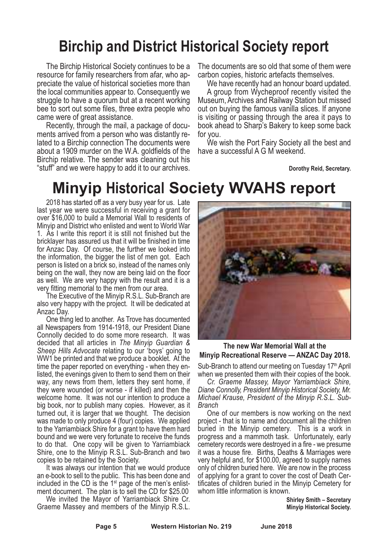# **Birchip and District Historical Society report**

The Birchip Historical Society continues to be a resource for family researchers from afar, who appreciate the value of historical societies more than the local communities appear to. Consequently we struggle to have a quorum but at a recent working bee to sort out some files, three extra people who

came were of great assistance.<br>Recently, through the mail, a package of docu-<br>ments arrived from a person who was distantly re-<br>lated to a Birchip connection The documents were about a 1909 murder on the W.A. goldfields of the Birchip relative. The sender was cleaning out his "stuff" and we were happy to add it to our archives. The documents are so old that some of them were carbon copies, historic artefacts themselves.

We have recently had an honour board updated.<br>A group from Wycheproof recently visited the Museum, Archives and Railway Station but missed out on buying the famous vanilla slices. If anyone is visiting or passing through the area it pays to book ahead to Sharp's Bakery to keep some back

for you. We wish the Port Fairy Society all the best and have a successful A G M weekend.

**Dorothy Reid, Secretary.**

# **Minyip Historical Society WVAHS report**

2018 has started off as a very busy year for us. Late last year we were successful in receiving a grant for over \$16,000 to build a Memorial Wall to residents of Minyip and District who enlisted and went to World War 1. As I write this report it is still not finished but the bricklayer has assured us that it will be finished in time for Anzac Day. Of course, the further we looked into the information, the bigger the list of men got. Each person is listed on a brick so, instead of the names only being on the wall, they now are being laid on the floor as well. We are very happy with the result and it is a very fitting memorial to the men from our area.

The Executive of the Minyip R.S.L. Sub-Branch are also very happy with the project. It will be dedicated at

Anzac Day. One thing led to another. As Trove has documented all Newspapers from 1914-1918, our President Diane Connolly decided to do some more research. It was decided that all articles in *The Minyip Guardian & Sheep Hills Advocate* relating to our 'boys' going to WW1 be printed and that we produce a booklet. At the time the paper reported on everything - when they enlisted, the evenings given to them to send them on their way, any news from them, letters they sent home, if they were wounded (or worse - if killed) and then the welcome home. It was not our intention to produce a big book, nor to publish many copies. However, as it turned out, it is larger that we thought. The decision was made to only produce 4 (four) copies. We applied to the Yarriambiack Shire for a grant to have them hard bound and we were very fortunate to receive the funds to do that. One copy will be given to Yarriambiack Shire, one to the Minyip R.S.L. Sub-Branch and two copies to be retained by the Society.

It was always our intention that we would produce an e-book to sell to the public. This has been done and included in the CD is the 1st page of the men's enlistment document. The plan is to sell the CD for \$25.00

We invited the Mayor of Yarriambiack Shire Cr. Graeme Massey and members of the Minyip R.S.L.



### **The new War Memorial Wall at the Minyip Recreational Reserve — ANZAC Day 2018.**

Sub-Branch to attend our meeting on Tuesday 17<sup>th</sup> April

when we presented them with their copies of the book.<br>Cr. Graeme Massey, Mayor Yarriambiack Shire, Diane Connolly, President Minyip Historical Society, Mr.<br>Michael Krause, President of the Minyip R.S.L. Sub-<br>Branch

One of our members is now working on the next project - that is to name and document all the children buried in the Minyip cemetery. This is a work in progress and a mammoth task. Unfortunately, early cemetery records were destroyed in a fire - we presume it was a house fire. Births, Deaths & Marriages were very helpful and, for \$100.00, agreed to supply names only of children buried here. We are now in the process of applying for a grant to cover the cost of Death Certificates of children buried in the Minyip Cemetery for whom little information is known.

> **Shirley Smith – Secretary Minyip Historical Society.**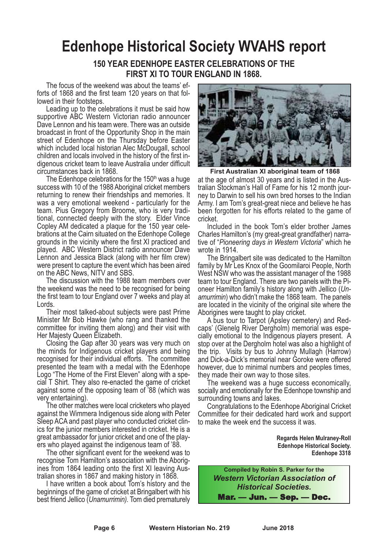# **Edenhope Historical Society WVAHS report**

## **150 YEAR EDENHOPE EASTER CELEBRATIONS OF THE FIRST XI TO TOUR ENGLAND IN 1868.**

The focus of the weekend was about the teams' efforts of 1868 and the first team 120 years on that followed in their footsteps.<br>Leading up to the celebrations it must be said how

supportive ABC Western Victorian radio announcer Dave Lennon and his team were. There was an outside broadcast in front of the Opportunity Shop in the main street of Edenhope on the Thursday before Easter which included local historian Alec McDougall, school children and locals involved in the history of the first in- digenous cricket team to leave Australia under difficult

circumstances back in 1868.<br>The Edenhope celebrations for the 150<sup>th</sup> was a huge success with 10 of the 1988 Aboriginal cricket members returning to renew their friendships and memories. It was a very emotional weekend - particularly for the team. Pius Gregory from Broome, who is very tradi- tional, connected deeply with the story. Elder Vince Copley AM dedicated <sup>a</sup> plaque for the <sup>150</sup> year cele- brations at the Cairn situated on the Edenhope College grounds in the vicinity where the first XI practiced and played. ABC Western District radio announcer Dave Lennon and Jessica Black (along with her film crew) were present to capture the event which has been aired on the ABC News, NITV and SBS. The discussion with the <sup>1988</sup> team members over

the weekend was the need to be recognised for being the first team to tour England over 7 weeks and play at Lords.

Their most talked-about subjects were past Prime Minister Mr Bob Hawke (who rang and thanked the committee for inviting them along) and their visit with Her Majesty Queen Elizabeth.

Closing the Gap after 30 years was very much on the minds for Indigenous cricket players and being recognised for their individual efforts. The committee presented the team with a medal with the Edenhope Logo "The Home of the First Eleven" along with a special T Shirt. They also re-enacted the game of cricket against some of the opposing team of '88 (which was very entertaining).

The other matches were local cricketers who played against the Wimmera Indigenous side along with Peter Sleep ACA and past player who conducted cricket clin- ics for the junior members interested in cricket. He is <sup>a</sup> great ambassador for junior cricket and one of the players who played against the indigenous team of '88.<br>The other significant event for the weekend was to recognise Tom Hamilton's association with the Aborig-

ines from 1864 leading onto the first XI leaving Aus-<br>tralian shores in 1867 and making history in 1868.<br>I have written a book about Tom's history and the

beginnings of the game of cricket at Bringalbert with his best friend Jellico (*Unamurrimin).* Tom died prematurely



at the age of almost 30 years and is listed in the Australian Stockman's Hall of Fame for his 12 month journey to Darwin to sell his own bred horses to the Indian Army. I am Tom's great-great niece and believe he has been forgotten for his efforts related to the game of cricket. **First Australian XI aboriginal team of 1868**

Included in the book Tom's elder brother James Charles Hamilton's (my great-great grandfather) narrative of "*Pioneering days in Western Victoria*" which he wrote in 1914.

The Bringalbert site was dedicated to the Hamilton family by Mr Les Knox of the Goomilaroi People, North West NSW who was the assistant manager of the 1988 team to tour England. There are two panels with the Pioneer Hamilton family's history along with Jellico (*Unamurrimin*) who didn't make the 1868 team. The panels are located in the vicinity of the original site where the Aborigines were taught to play cricket.

A bus tour to Tarpot (Apsley cemetery) and Redcially emotional to the Indigenous players present. A stop over at the Dergholm hotel was also a highlight of the trip. Visits by bus to Johnny Mullagh (Harrow) and Dick-a-Dick's memorial near Goroke were offered

however, due to minimal numbers and peoples times, they made their own way to those sites.<br>The weekend was a huge success economically, socially and emotionally for the Edenhope township and surrounding towns and lakes.

Congratulations to the Edenhope Aboriginal Cricket Committee for their dedicated hard work and support to make the week end the success it was.

> **Regards Helen Mulraney-Roll Edenhope Historical Society. Edenhope 3318**

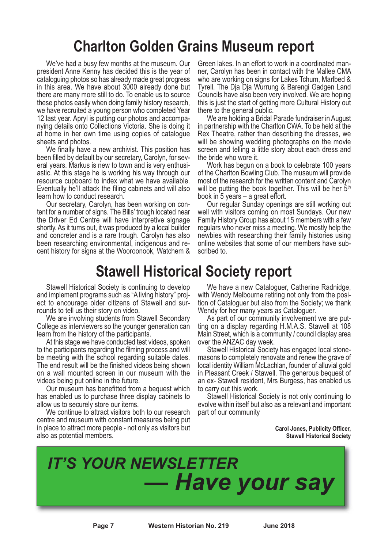# **Charlton Golden Grains Museum report**

We've had a busy few months at the museum. Our president Anne Kenny has decided this is the year of cataloguing photos so has already made great progress in this area. We have about 3000 already done but there are many more still to do. To enable us to source these photos easily when doing family history research, we have recruited a young person who completed Year 12 last year. Apryl is putting our photos and accompanying details onto Collections Victoria. She is doing it at home in her own time using copies of catalogue sheets and photos.

We finally have a new archivist. This position has been filled by default by our secretary, Carolyn, for several years. Markus is new to town and is very enthusiastic. At this stage he is working his way through our resource cupboard to index what we have available. Eventually he'll attack the filing cabinets and will also learn how to conduct research.

Our secretary, Carolyn, has been working on content for a number of signs. The Bills' trough located near the Driver Ed Centre will have interpretive signage shortly. As it turns out, it was produced by a local builder and concreter and is a rare trough. Carolyn has also been researching environmental, indigenous and recent history for signs at the Wooroonook, Watchem & Green lakes. In an effort to work in <sup>a</sup> coordinated man- ner, Carolyn has been in contact with the Mallee CMA who are working on signs for Lakes Tchum, Marlbed & Tyrell. The Dja Dja Wurrung & Barengi Gadgen Land Councils have also been very involved. We are hoping this is just the start of getting more Cultural History out there to the general public.

We are holding a Bridal Parade fundraiser in August in partnership with the Charlton CWA. To be held at the Rex Theatre, rather than describing the dresses, we will be showing wedding photographs on the movie screen and telling a little story about each dress and the bride who wore it. Work has begun on <sup>a</sup> book to celebrate <sup>100</sup> years

of the Charlton Bowling Club. The museum will provide most of the research for the written content and Carolyn will be putting the book together. This will be her 5<sup>th</sup> book in 5 years – a great effort.

Our regular Sunday openings are still working out well with visitors coming on most Sundays. Our new Family History Group has about 15 members with a few regulars who never miss a meeting. We mostly help the newbies with researching their family histories using online websites that some of our members have subscribed to.

# **Stawell Historical Society report**

Stawell Historical Society is continuing to develop and implement programs such as "A living history" project to encourage older citizens of Stawell and surrounds to tell us their story on video.<br>We are involving students from Stawell Secondary

College as interviewers so the younger generation can learn from the history of the participants. At this stage we have conducted test videos, spoken

to the participants regarding the filming process and will be meeting with the school regarding suitable dates. The end result will be the finished videos being shown on a wall mounted screen in our museum with the videos being put online in the future. Our museum has benefitted from <sup>a</sup> bequest which

has enabled us to purchase three display cabinets to allow us to securely store our items.

We continue to attract visitors both to our research centre and museum with constant measures being put in place to attract more people - not only as visitors but also as potential members.

We have a new Cataloguer, Catherine Radnidge, with Wendy Melbourne retiring not only from the position of Cataloguer but also from the Society; we thank Wendy for her many years as Cataloguer.

As part of our community involvement we are put-<br>ting on a display regarding H.M.A.S. Stawell at 108 Main Street, which is a community / council display area

over the ANZAC day week. Stawell Historical Society has engaged local stone- masons to completely renovate and renew the grave of local identity William McLachlan, founder of alluvial gold in Pleasant Creek / Stawell. The generous bequest of an ex- Stawell resident, Mrs Burgess, has enabled us

to carry out this work.<br>Stawell Historical Society is not only continuing to evolve within itself but also as a relevant and important part of our community

> **Carol Jones, Publicity Officer, Stawell Historical Society**



**Page 7 Western Historian No. 219 June 2018**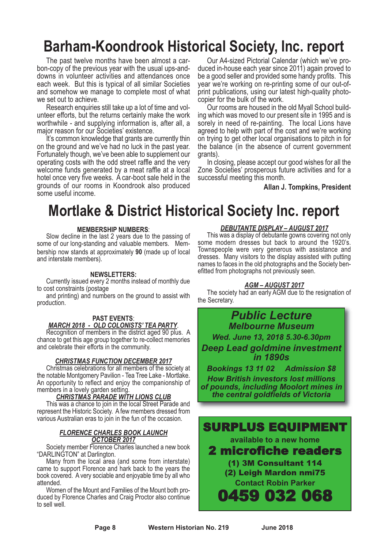# **Barham-Koondrook Historical Society, Inc. report**

The past twelve months have been almost a car-<br>bon-copy of the previous year with the usual ups-and-<br>downs in volunteer activities and attendances once each week. But this is typical of all similar Societies and somehow we manage to complete most of what

we set out to achieve. Research enquiries still take up <sup>a</sup> lot of time and vol- unteer efforts, but the returns certainly make the work worthwhile - and supplying information is, after all, a major reason for our Societies' existence.

It's common knowledge that grants are currently thin on the ground and we've had no luck in the past year. Fortunately though, we've been able to supplement our operating costs with the odd street raffle and the very welcome funds generated by a meat raffle at a local hotel once very five weeks. A car-boot sale held in the grounds of our rooms in Koondrook also produced some useful income.

Our A4-sized Pictorial Calendar (which we've pro- duced in-house each year since 2011) again proved to be a good seller and provided some handy profits. This year we're working on re-printing some of our out-ofprint publications, using our latest high-quality photo-<br>copier for the bulk of the work.<br>Our rooms are housed in the old Myall School build-<br>ing which was moved to our present site in 1995 and is

sorely in need of re-painting. The local Lions have agreed to help with part of the cost and we're working on trying to get other local organisations to pitch in for the balance (in the absence of current government grants). In closing, please accept our good wishes for all the

Zone Societies' prosperous future activities and for a successful meeting this month.

**Allan J. Tompkins, President**

# **Mortlake & District Historical Society Inc. report**

#### **MEMBERSHIP NUMBERS**:

Slow decline in the last 2 years due to the passing of some of our long-standing and valuable members. Membership now stands at approximately **90** (made up of local and interstate members).

#### **NEWSLETTERS:**

Currently issued every 2 months instead of monthly due to cost constraints (postage

and printing) and numbers on the ground to assist with production.

# **PAST EVENTS:**<br>MARCH 2018 - OLD COLONISTS' TEA PARTY.

*MARCH <sup>2018</sup> - OLD COLONISTS' TEA PARTY*. Recognition of members in the district aged <sup>90</sup> plus. <sup>A</sup> chance to get this age group together to re-collect memories and celebrate their efforts in the community.

#### *CHRISTMAS FUNCTION DECEMBER 2017*

Christmas celebrations for all members of the society at the notable Montgomery Pavilion - Tea Tree Lake - Mortlake. An opportunity to reflect and enjoy the companionship of members in a lovely garden setting.

#### members in <sup>a</sup> lovely garden setting. *CHRISTMAS PARADE WITH LIONS CLUB*

This was a chance to join in the local Street Parade and represent the Historic Society. A few members dressed from various Australian eras to join in the fun of the occasion.

#### *FLORENCE CHARLES BOOK LAUNCH OCTOBER 2017*

Society member Florence Charles launched a new book "DARLINGTON" at Darlington.

Many from the local area (and some from interstate) came to support Florence and hark back to the years the book covered. A very sociable and enjoyable time by all who

Women of the Mount and Families of the Mount both pro- duced by Florence Charles and Craig Proctor also continue to sell well.

## *DEBUTANTE DISPLAY – AUGUST 2017*

This was a display of debutante gowns covering not only some modern dresses but back to around the 1920's. Townspeople were very generous with assistance and dresses. Many visitors to the display assisted with putting names to faces in the old photographs and the Society benefitted from photographs not previously seen.

#### *AGM – AUGUST 2017*

The society had an early AGM due to the resignation of the Secretary.

## *Public Lecture Melbourne Museum Wed. June 13, 2018 5.30-6.30pm Deep Lead goldmine investment in 1890s*

*Bookings 13 11 02 Admission \$8 How British investors lost millions of pounds, including Moolort mines in the central goldfields of Victoria*

## SURPLUS EQUIPMENT

**available to a new home**

## 2 microfiche readers

- (1) 3M Consultant 114
- (2) Leigh Mardon nmi75 **Contact Robin Parker**

0459 032 068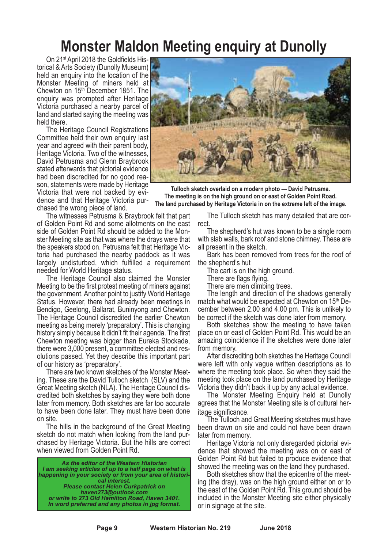# **Monster Maldon Meeting enquiry at Dunolly**

On 21<sup>st</sup> April 2018 the Goldfields Historical & Arts Society (Dunolly Museum) held an enquiry into the location of the Monster Meeting of miners held at Chewton on 15th December 1851. The enquiry was prompted after Heritage Victoria purchased a nearby parcel of land and started saying the meeting was held there. The Heritage Council Registrations

Committee held their own enquiry last year and agreed with their parent body, Heritage Victoria. Two of the witnesses, David Petrusma and Glenn Braybrook stated afterwards that pictorial evidence had been discredited for no good rea- son, statements were made by Heritage Victoria that were not backed by evi-<br>dence and that Heritage Victoria pur-<br>chased the wrong piece of land.<br>The witnesses Petrusma & Braybrook felt that part

of Golden Point Rd and some allotments on the east side of Golden Point Rd should be added to the Mon- ster Meeting site as that was where the drays were that the speakers stood on. Petrusma felt that Heritage Vic- toria had purchased the nearby paddock as it was largely undisturbed, which fulfilled a requirement needed for World Heritage status. The Heritage Council also claimed the Monster

Meeting to be the first protest meeting of miners against the government. Another point to justify World Heritage Status. However, there had already been meetings in Bendigo, Geelong, Ballarat, Buninyong and Chewton. The Heritage Council discredited the earlier Chewton meeting as being merely 'preparatory'. This is changing history simply because it didn't fit their agenda. The first Chewton meeting was bigger than Eureka Stockade, there were 3,000 present, a committee elected and resolutions passed. Yet they describe this important part of our history as 'preparatory'.

There are two known sketches of the Monster Meeting. These are the David Tulloch sketch (SLV) and the Great Meeting sketch (NLA). The Heritage Council discredited both sketches by saying they were both done later from memory. Both sketches are far too accurate to have been done later. They must have been done on site.

The hills in the background of the Great Meeting sketch do not match when looking from the land pur- chased by Heritage Victoria. But the hills are correct when viewed from Golden Point Rd.

*As the editor of the Western Historian I am seeking articles of up to a half page on what is happening in your society or from your area of historical interest. Please contact Helen Curkpatrick on haven273@outlook.com or write to 273 Old Hamilton Road, Haven 3401. In word preferred and any photos in jpg format.*



**Tulloch sketch overlaid on a modern photo — David Petrusma. The meeting is on the high ground on or east of Golden Point Road. The land purchased by Heritage Victoria in on the extreme left of the image.**

The Tulloch sketch has many detailed that are correct.

The shepherd's hut was known to be a single room with slab walls, bark roof and stone chimney. These are all present in the sketch.

Bark has been removed from trees for the roof of the shepherd's hut

There are flags flying.<br>There are flags flying.<br>There are men climbing trees.<br>The length and direction of the shadows generally match what would be expected at Chewton on 15<sup>th</sup> December between 2.00 and 4.00 pm. This is unlikely to

be correct if the sketch was done later from memory. Both sketches show the meeting to have taken place on or east of Golden Point Rd. This would be an amazing coincidence if the sketches were done later from memory.

After discrediting both sketches the Heritage Council were left with only vague written descriptions as to where the meeting took place. So when they said the meeting took place on the land purchased by Heritage Victoria they didn't back it up by any actual evidence.

The Monster Meeting Enquiry held at Dunolly agrees that the Monster Meeting site is of cultural her-

itage significance. The Tulloch and Great Meeting sketches must have been drawn on site and could not have been drawn

later from memory. Heritage Victoria not only disregarded pictorial evi- dence that showed the meeting was on or east of Golden Point Rd but failed to produce evidence that

showed the meeting was on the land they purchased. Both sketches show that the epicentre of the meet- ing (the dray), was on the high ground either on or to the east of the Golden Point Rd. This ground should be included in the Monster Meeting site either physically or in signage at the site.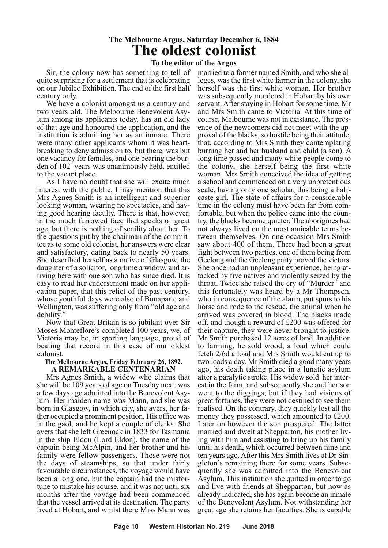## **The Melbourne Argus, Saturday December 6, 1884 The oldest colonist**

### **To the editor of the Argus**

Sir, the colony now has something to tell of quite surprising for a settlement that is celebrating on our Jubilee Exhibition. The end of the first half century only.

We have a colonist amongst us a century and two years old. The Melbourne Benevolent Asylum among its applicants today, has an old lady of that age and honoured the application, and the institution is admitting her as an inmate. There were many other applicants whom it was heartbreaking to deny admission to, but there was but one vacancy for females, and one bearing the burden of 102 years was unanimously held, entitled to the vacant place.

As I have no doubt that she will excite much interest with the public, I may mention that this Mrs Agnes Smith is an intelligent and superior looking woman, wearing no spectacles, and having good hearing faculty. There is that, however, in the much furrowed face that speaks of great age, but there is nothing of senility about her. To the questions put by the chairman of the commit- tee as to some old colonist, her answers were clear and satisfactory, dating back to nearly <sup>50</sup> years. She described herself as <sup>a</sup> native of Glasgow, the daughter of a solicitor, long time a widow, and arriving here with one son who has since died. It is easy to read her endorsement made on her application paper, that this relict of the past century, whose youthful days were also of Bonaparte and Wellington, was suffering only from "old age and debility.'

Now that Great Britain is so jubilant over Sir Moses Monteflore's completed 100 years, we, of Victoria may be, in sporting language, proud of beating that record in this case of our oldest colonist.

#### **The Melbourne Argus, Friday February 26, 1892. A REMARKABLE CENTENARIAN**

Mrs Agnes Smith, a widow who claims that she will be 109 years of age on Tuesday next, was a few days ago admitted into the Benevolent Asylum. Her maiden name was Mann, and she was born in Glasgow, in which city, she avers, her father occupied a prominent position. His office was in the gaol, and he kept a couple of clerks. She avers that she left Greenock in 1833 for Tasmania in the ship Eldon (Lord Eldon), the name of the captain being McAlpin, and her brother and his family were fellow passengers. Those were not the days of steamships, so that under fairly favourable circumstances, the voyage would have been <sup>a</sup> long one, but the captain had the misfor- tune to mistake his course, and it was not until six months after the voyage had been commenced that the vessel arrived at its destination. The party lived at Hobart, and whilst there Miss Mann was

married to a farmer named Smith, and who she alleges, was the first white farmer in the colony, she herself was the first white woman. Her brother was subsequently murdered in Hobart by his own servant. After staying in Hobart for some time, Mr and Mrs Smith came to Victoria. At this time of course, Melbourne was not in existance. The pres-<br>ence of the newcomers did not meet with the ap-<br>proval of the blacks, so hostile being their attitude, that, according to Mrs Smith they contemplating burning her and her husband and child (a son). A long time passed and many white people come to the colony, she herself being the first white woman. Mrs Smith conceived the idea of getting a school and commenced on a very unpretentious scale, having only one scholar, this being a halfcaste girl. The state of affairs for a considerable time in the colony must have been far from com-<br>fortable, but when the police came into the country, the blacks became quieter. The aborigines had not always lived on the most amicable terms between themselves. On one occasion Mrs Smith saw about 400 of them. There had been a great fight between two parties, one of them being from Geelong and the Geelong party proved the victors. She once had an unpleasant experience, being attacked by five natives and violently seized by the throat. Twice she raised the cry of "Murder" and this fortunately was heard by a Mr Thompson, who in consequence of the alarm, put spurs to his horse and rode to the rescue, the animal when he arrived was covered in blood. The blacks made off, and though a reward of £200 was offered for their capture, they were never brought to justice. Mr Smith purchased 12 acres of land. In addition to farming, he sold wood, a load which could fetch 2/6d a load and Mrs Smith would cut up to two loads a day. Mr Smith died a good many years ago, his death taking place in a lunatic asylum after a paralytic stroke. His widow sold her interest in the farm, and subsequently she and her son went to the diggings, but if they had visions of great fortunes, they were not destined to see them realised. On the contrary, they quickly lost all the money they possessed, which amounted to £200. Later on however the son prospered. The latter married and dwelt at Shepparton, his mother living with him and assisting to bring up his family until his death, which occurred between nine and ten years ago. After this Mrs Smith lives at Dr Singleton's remaining there for some years. Subsequently she was admitted into the Benevolent Asylum. This institution she quitted in order to go and live with friends at Shepparton, but now as already indicated, she has again become an inmate of the Benevolent Asylum. Not withstanding her great age she retains her faculties. She is capable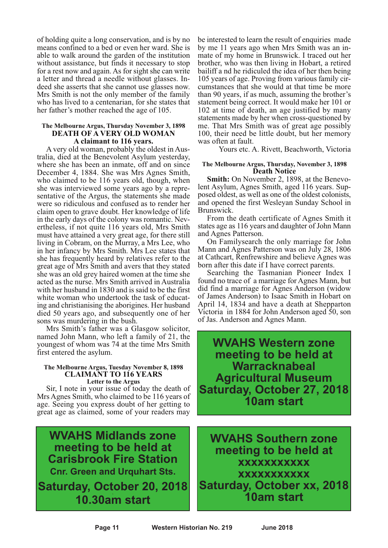of holding quite a long conservation, and is by no means confined to a bed or even her ward. She is able to walk around the garden of the institution without assistance, but finds it necessary to stop for a rest now and again. As for sight she can write a letter and thread a needle without glasses. Indeed she asserts that she cannot use glasses now. Mrs Smith is not the only member of the family who has lived to a centenarian, for she states that her father's mother reached the age of 105.

#### **The Melbourne Argus, Thursday November 3, 1898 DEATH OF A VERY OLD WOMAN A claimant to 116 years.**

A very old woman, probably the oldest in Australia, died at the Benevolent Asylum yesterday, where she has been an inmate, off and on since December 4, 1884. She was Mrs Agnes Smith, who claimed to be 116 years old, though, when she was interviewed some years ago by a representative of the Argus, the statements she made were so ridiculous and confused as to render her claim open to grave doubt. Her knowledge of life in the early days of the colony was romantic. Nevertheless, if not quite 116 years old, Mrs Smith must have attained a very great age, for there still living in Cobram, on the Murray, a Mrs Lee, who in her infancy by Mrs Smith. Mrs Lee states that she has frequently heard by relatives refer to the great age of Mrs Smith and avers that they stated she was an old grey haired women at the time she acted as the nurse. Mrs Smith arrived in Australia with her husband in 1830 and is said to be the first white woman who undertook the task of educating and christianising the aborigines. Her husband died 50 years ago, and subsequently one of her

sons was murdering in the bush. Mrs Smith's father was <sup>a</sup> Glasgow solicitor, named John Mann, who left a family of 21, the youngest of whom was 74 at the time Mrs Smith first entered the asylum.

#### **The Melbourne Argus, Tuesday November 8, 1898 CLAIMANT TO 116 YEARS Letter to the Argus**

Sir, I note in your issue of today the death of Mrs Agnes Smith, who claimed to be 116 years of age. Seeing you express doubt of her getting to great age as claimed, some of your readers may

**WVAHS Midlands zone meeting to be held at Carisbrook Fire Station Cnr. Green and Urquhart Sts. Saturday, October 20, 2018 \ 10.30am start**

be interested to learn the result of enquiries made by me <sup>11</sup> years ago when Mrs Smith was an in- mate of my home in Brunswick. <sup>I</sup> traced out her brother, who was then living in Hobart, a retired bailiff a nd he ridiculed the idea of her then being <sup>105</sup> years of age. Proving from various family cir- cumstances that she would at that time be more than 90 years, if as much, assuming the brother's statement being correct. It would make her 101 or 102 at time of death, an age justified by many statements made by her when cross-questioned by me. That Mrs Smith was of great age possibly 100, their need be little doubt, but her memory was often at fault.

Yours etc. A. Rivett, Beachworth, Victoria

#### **The Melbourne Argus, Thursday, November 3, 1898 Death Notice**

**Smith:** On November 2, 1898, at the Benevolent Asylum, Agnes Smith, aged 116 years. Supand opened the first Wesleyan Sunday School in Brunswick.

From the death certificate of Agnes Smith it states age as 116 years and daughter of John Mann and Agnes Patterson.

On Familysearch the only marriage for John Mann and Agnes Patterson was on July 28, 1806 at Cathcart, Renfrewshire and believe Agnes was born after this date if I have correct parents.

Searching the Tasmanian Pioneer Index I found no trace of a marriage for Agnes Mann, but did find a marriage for Agnes Anderson (widow of James Anderson) to Isaac Smith in Hobart on April 14, 1834 and have a death at Shepparton Victoria in 1884 for John Anderson aged 50, son of Jas. Anderson and Agnes Mann.

**WVAHS Western zone meeting to be held at Warracknabeal Agricultural Museum Saturday, October 27, 2018 10am start**

**WVAHS Southern zone meeting to be held at xxxxxxxxxxx xxxxxxxxxxx Saturday, October xx, 2018 10am start**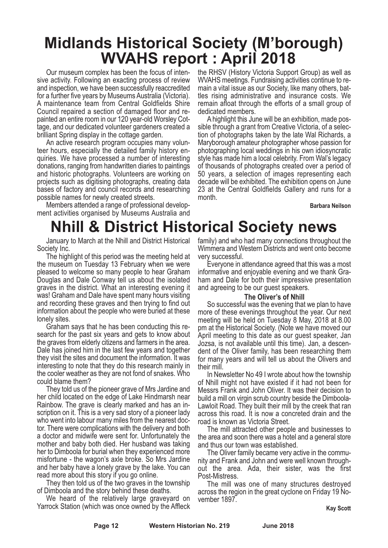# **Midlands Historical Society (M'borough) WVAHS report : April 2018**

Our museum complex has been the focus of intensive activity. Following an exacting process of review and inspection, we have been successfully reaccredited for a further five years by Museums Australia (Victoria). A maintenance team from Central Goldfields Shire Council repaired a section of damaged floor and repainted an entire room in our 120 year-old Worsley Cottage, and our dedicated volunteer gardeners created a brilliant Spring display in the cottage garden.

An active research program occupies many volunteer hours, especially the detailed family history enquiries. We have processed a number of interesting donations, ranging from handwritten diaries to paintings and historic photographs. Volunteers are working on projects such as digitising photographs, creating data bases of factory and council records and researching possible names for newly created streets.

Members attended a range of professional development activities organised by Museums Australia and the RHSV (History Victoria Support Group) as well as WVAHS meetings. Fundraising activities continue to remain a vital issue as our Society, like many others, battles rising administrative and insurance costs. We remain afloat through the efforts of a small group of dedicated members.

A highlight this June will be an exhibition, made possible through a grant from Creative Victoria, of a selection of photographs taken by the late Wal Richards, a Maryborough amateur photographer whose passion for photographing local weddings in his own idiosyncratic style has made him a local celebrity. From Wal's legacy of thousands of photographs created over a period of 50 years, a selection of images representing each decade will be exhibited. The exhibition opens on June 23 at the Central Goldfields Gallery and runs for a month.

**Barbara Neilson**

# **Nhill & District Historical Society news**

January to March at the Nhill and District Historical Society Inc.

The highlight of this period was the meeting held at the museum on Tuesday 13 February when we were pleased to welcome so many people to hear Graham Douglas and Dale Conway tell us about the isolated graves in the district. What an interesting evening it was! Graham and Dale have spent many hours visiting and recording these graves and then trying to find out information about the people who were buried at these lonely sites.

Graham says that he has been conducting this research for the past six years and gets to know about the graves from elderly citizens and farmers in the area. Dale has joined him in the last few years and together they visit the sites and document the information. It was interesting to note that they do this research mainly in the cooler weather as they are not fond of snakes. Who could blame them?

They told us of the pioneer grave of Mrs Jardine and her child located on the edge of Lake Hindmarsh near Rainbow. The grave is clearly marked and has an inscription on it. This is a very sad story of a pioneer lady who went into labour many miles from the nearest doctor. There were complications with the delivery and both a doctor and midwife were sent for. Unfortunately the mother and baby both died. Her husband was taking her to Dimboola for burial when they experienced more misfortune - the wagon's axle broke. So Mrs Jardine and her baby have a lonely grave by the lake. You can read more about this story if you go online.

They then told us of the two graves in the township of Dimboola and the story behind these deaths.

We heard of the relatively large graveyard on Yarrock Station (which was once owned by the Affleck family) and who had many connections throughout the Wimmera and Western Districts and went onto become very successful.

Everyone in attendance agreed that this was a most informative and enjoyable evening and we thank Graham and Dale for both their impressive presentation and agreeing to be our guest speakers.

#### **The Oliver's of Nhill**

So successful was the evening that we plan to have more of these evenings throughout the year. Our next meeting will be held on Tuesday 8 May, 2018 at 8.00 pm at the Historical Society. (Note we have moved our April meeting to this date as our guest speaker, Jan Jozsa, is not available until this time). Jan, <sup>a</sup> descen- dent of the Oliver family, has been researching them for many years and will tell us about the Olivers and

their mill.<br>In Newsletter No 49 I wrote about how the township of Nhill might not have existed if it had not been for Messrs Frank and John Oliver. It was their decision to build a mill on virgin scrub country beside the Dimboola-Lawloit Road. They built their mill by the creek that ran across this road. It is now a concreted drain and the road is known as Victoria Street.

The mill attracted other people and businesses to the area and soon there was a hotel and a general store and thus our town was established.

The Oliver family became very active in the community and Frank and John and were well known throughout the area. Ada, their sister, was the first Post-Mistress.

The mill was one of many structures destroyed across the region in the great cyclone on Friday <sup>19</sup> No- vember 1897.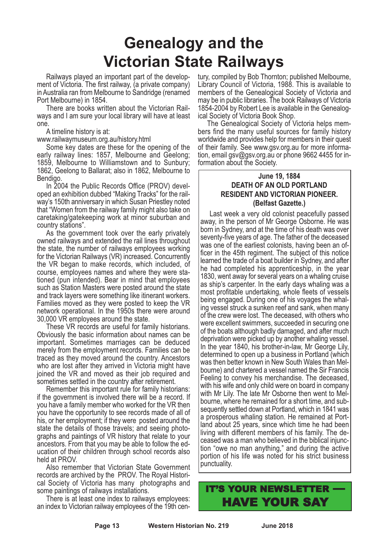# **Genealogy and the Victorian State Railways**

Railways played an important part of the development of Victoria. The first railway, (a private company) in Australia ran from Melbourne to Sandridge (renamed Port Melbourne) in 1854.

There are books written about the Victorian Railways and I am sure your local library will have at least one.

A timeline history is at:

www.railwaymuseum.org.au/history.html

Some key dates are these for the opening of the early railway lines: 1857, Melbourne and Geelong; 1859, Melbourne to Williamstown and to Sunbury; 1862, Geelong to Ballarat; also in 1862, Melbourne to Bendigo.

In 2004 the Public Records Office (PROV) developed an exhibition dubbed "Making Tracks" for the railway's 150th anniversary in which Susan Priestley noted that "Women from the railway family might also take on caretaking/gatekeeping work at minor suburban and country stations".

As the government took over the early privately owned railways and extended the rail lines throughout the state, the number of railways employees working for the Victorian Railways (VR) increased. Concurrently the VR began to make records, which included, of course, employees names and where they were stationed (pun intended). Bear in mind that employees such as Station Masters were posted around the state and track layers were something like itinerant workers. Families moved as they were posted to keep the VR network operational. In the 1950s there were around 30,000 VR employees around the state.

These VR records are useful for family historians. Obviously the basic information about names can be important. Sometimes marriages can be deduced merely from the employment records. Families can be traced as they moved around the country. Ancestors who are lost after they arrived in Victoria might have joined the VR and moved as their job required and sometimes settled in the country after retirement.

Remember this important rule for family historians: if the government is involved there will be a record. If you have a family member who worked for the VR then you have the opportunity to see records made of all of his, or her employment; if they were posted around the state the details of those travels; and seeing photographs and paintings of VR history that relate to your ancestors. From that you may be able to follow the education of their children through school records also held at PROV.

Also remember that Victorian State Government records are archived by the PROV. The Royal Historical Society of Victoria has many photographs and some paintings of railways installations.

There is at least one index to railways employees: an index to Victorian railway employees of the 19th cen-

tury, compiled by Bob Thornton; published Melbourne, Library Council of Victoria, 1988. This is available to members of the Genealogical Society of Victoria and may be in public libraries. The book Railways of Victoria 1854-2004 by Robert Lee is available in the Genealogical Society of Victoria Book Shop.

The Genealogical Society of Victoria helps members find the many useful sources for family history worldwide and provides help for members in their quest of their family. See www.gsv.org.au for more information, email gsv@gsv.org.au or phone 9662 4455 for information about the Society.

## **June 19, 1884 DEATH OF AN OLD PORTLAND RESIDENT AND VICTORIAN PIONEER. (Belfast Gazette.)**

Last week a very old colonist peacefully passed away, in the person of Mr George Osborne. He was born in Sydney, and at the time of his death was over seventy-five years of age. The father of the deceased was one of the earliest colonists, having been an officer in the 45th regiment. The subject of this notice learned the trade of a boat builder in Sydney, and after he had completed his apprenticeship, in the year 1830, went away for several years on a whaling cruise as ship's carpenter. In the early days whaling was a most profitable undertaking, whole fleets of vessels being engaged. During one of his voyages the whal- ing vessel struck <sup>a</sup> sunken reef and sank, when many of the crew were lost. The deceased, with others who were excellent swimmers, succeeded in securing one of the boats although badly damaged, and after much deprivation were picked up by another whaling vessel.<br>In the year 1840, his brother-in-law, Mr George Lily, determined to open up a business in Portland (which was then better known in New South Wales than Mel- bourne) and chartered <sup>a</sup> vessel named the Sir Francis Feeling to convey his merchandise. The deceased, with his wife and only child were on board in company with Mr Lily. The late Mr Osborne then went to Mel-<br>bourne, where he remained for a short time, and sub-<br>sequently settled down at Portland, which in 1841 was <sup>a</sup> prosperous whaling station. He remained at Port- land about <sup>25</sup> years, since which time he had been living with different members of his family. The de- ceased was <sup>a</sup> man who believed in the biblical injunction "owe no man anything," and during the active portion of his life was noted for his strict business punctuality.

# IT'S YOUR NEWSLETTER — HAVE YOUR SAY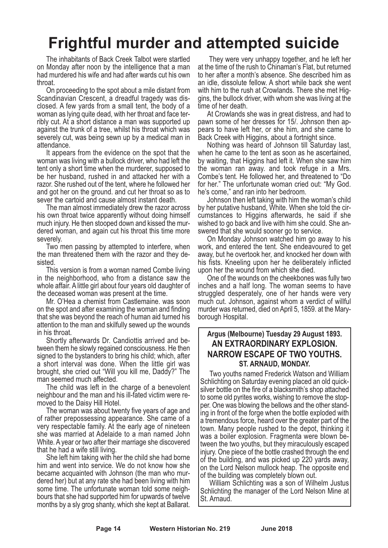# **Frightful murder and attempted suicide**

The inhabitants of Back Creek Talbot were startled on Monday after noon by the intelligence that a man had murdered his wife and had after wards cut his own throat.

On proceeding to the spot about a mile distant from Scandinavian Crescent, <sup>a</sup> dreadful tragedy was dis- closed. <sup>A</sup> few yards from <sup>a</sup> small tent, the body of <sup>a</sup> woman as lying quite dead, with her throat and face ter- ribly cut. At <sup>a</sup> short distance <sup>a</sup> man was supported up against the trunk of a tree, whilst his throat which was severely cut, was being sewn up by a medical man in attendance.

It appears from the evidence on the spot that the woman was living with a bullock driver, who had left the tent only a short time when the murderer, supposed to be her husband, rushed in and attacked her with a razor. She rushed out of the tent, where he followed her and got her on the ground. and cut her throat so as to sever the cartoid and cause almost instant death.

The man almost immediately drew the razor across his own throat twice apparently without doing himself much injury. He then stooped down and kissed the murdered woman, and again cut his throat this time more severely.

Two men passing by attempted to interfere, when the man threatened them with the razor and they desisted.

This version is from a woman named Combe living in the neighborhood, who from a distance saw the whole affair. A little girl about four years old daughter of the deceased woman was present at the time.

Mr. O'Hea a chemist from Castlemaine. was soon on the spot and after examining the woman and finding that she was beyond the reach of human aid turned his attention to the man and skilfully sewed up the wounds

in his throat. Shortly afterwards Dr. Candiottis arrived and be- tween them he slowly regained consciousness. He then signed to the bystanders to bring his child; which, after a short interval was done. When the little girl was brought, she cried out "Will you kill me, Daddy?" The

man seemed much affected. The child was left in the charge of <sup>a</sup> benevolent neighbour and the man and his ill-fated victim were re- moved to the Daisy Hill Hotel. The woman was about twenty five years of age and

of rather prepossessing appearance. She came of a very respectable family. At the early age of nineteen she was married at Adelaide to a man named John White. A year or two after their marriage she discovered that he had a wife still living.

She left him taking with her the child she had borne him and went into service. We do not know how she became acquainted with Johnson (the man who murdered her) but at any rate she had been living with him some time. The unfortunate woman told some neigh- bours that she had supported him for upwards of twelve months by a sly grog shanty, which she kept at Ballarat.

They were very unhappy together, and he left her at the time of the rush to Chinaman's Flat, but returned to her after a month's absence. She described him as an idle, dissolute fellow. A short while back she went with him to the rush at Crowlands. There she met Hig-<br>gins, the bullock driver, with whom she was living at the time of her death.

At Crowlands she was in great distress, and had to pawn some of her dresses for 15/. Johnson then appears to have left her, or she him, and she came to Back Creek with Higgins, about a fortnight since.

Nothing was heard of Johnson till Saturday last, when he came to the tent as soon as he ascertained, by waiting, that Higgins had left it. When she saw him the woman ran away. and took refuge in <sup>a</sup> Mrs. Combe's tent. He followed her, and threatened to "Do for her." The unfortunate woman cried out: "My God.<br>he's come," and ran into her bedroom.<br>Johnson then left taking with him the woman's child

by her putative husband, White. When she told the circumstances to Higgins afterwards, he said if she wished to go back and live with him she could. She an-<br>swered that she would sooner go to service.<br>On Monday Johnson watched him go away to his

work, and entered the tent. She endeavoured to get away, but he overtook her, and knocked her down with his fists. Kneeling upon her he deliberately inflicted

upon her the wound from which she died. One of the wounds on the cheekbones was fully two inches and a half long. The woman seems to have struggled desperately, one of her hands were very much cut. Johnson, against whom a verdict of willful murder was returned, died on April 5, 1859. at the Maryborough Hospital.

## **Argus (Melbourne) Tuesday 29 August 1893. AN EXTRAORDINARY EXPLOSION. NARROW ESCAPE OF TWO YOUTHS. ST. ARNAUD, MONDAY.**

Two youths named Frederick Watson and William Schlichting on Saturday evening placed an old quicksilver bottle on the fire of a blacksmith's shop attached to some old pyrites works, wishing to remove the stopper. One was blowing the bellows and the other standing in front of the forge when the bottle exploded with a tremendous force, heard over the greater part of the town. Many people rushed to the depot, thinking it was <sup>a</sup> boiler explosion. Fragmenta were blown be- tween the two youths, but they miraculously escaped injury. One piece of the bottle crashed through the end of the building, and was picked up <sup>220</sup> yards away, on the Lord Nelson mullock heap. The opposite end

of the building was completely blown out. William Schlichting was <sup>a</sup> son of Wilhelm Justus Schlichting the manager of the Lord Nelson Mine at St. Arnaud.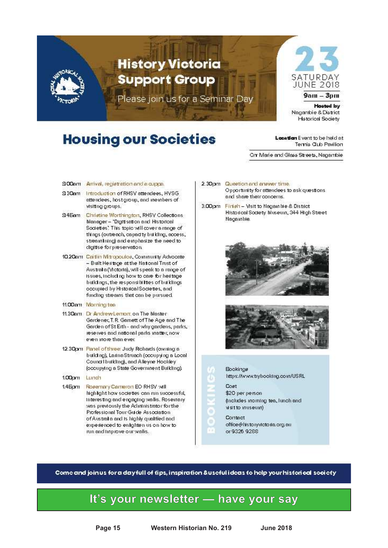

# **Housing our Societies**

**Location** Event to be held at Termia Club Pavilion

Cin Marie and Glass Streets, Nagambie

#### 900am Arrival, registration and a cuppa.

- 930am Introduction of RHSV attendees, HVSG attendees, host group, and inembers of visiting groups.
- 94Eam Christine Morthington, RHSV Collections **Blanager - "Digitisation and Historical** Societies? This topic will cover a range of things (outleach, capadity building, access, streamhling) and emphasize the need to digitise for preservation.
- 10.20am Caitlin Mitropoulos, Community Advocate - Built Heiltage at the National Trust of Australia (Victoria), will speak to a range of Issues, including how to care for heritage buildings, the responsibilities of buildings occupied by Historical Societies, and funding streams that can be pursued.
- 11.00 cm Morning tea
- 11.30am D: Andrew Lemon: on The blaster: Gardener, T. R. Gamett of The Age and The Garden of St Eith - and why gardens, parks, reserves and national parts matter, now even more than ever
- 12.30pm Panel of three Judy Richards (owning a building), LaitnaStruach (occupying a Local Council building), and Alleyne Hooldey (occupying a State Government Bulkling).
- 1.00 am Lunda
- 1.4Epm Rosemary Cameron EO RHSY will highlight how societies can run successful, Interesting and engaging walls. Roseinary was previously the Adininistiator for the Professional Tour Guide Association of Australia and is highly qualified and experienced to enlighten us on how to run and timprove our walls...
- 2.30pm Question and ensiver time. Opportunity for attendees to ask questions. and share their concerns.
- 3.00pm Finieln Visit to Nagain ble & District Historical Society Museum, 344 High Street Nagainble.







\$20 per person (includes inorning tea, lunch and wsitto inuseum)

Contact office@histonyvictoria.org.au or 9326 9288

Come and join us for a day full of tips, inspiration & useful ideas to help your historical society

## **It's your newsletter — have your say**

**Page 15 Western Historian No. 219 June 2018**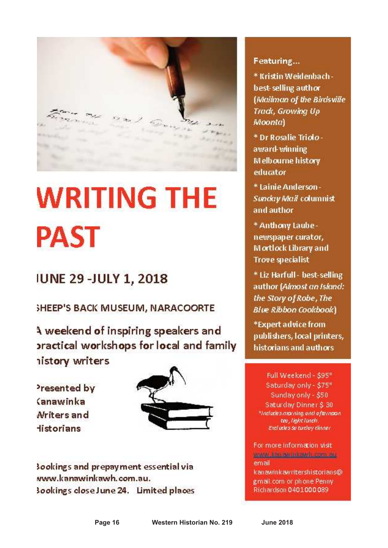

# **WRITING THE PAST**

# **IUNE 29 - JULY 1, 2018**

SHEEP'S BACK MUSEUM, NARACOORTE

A weekend of inspiring speakers and practical workshops for local and family istory writers

Presented by *<u>Sanawinka</u>* Mriters and **Historians** 



sookings and prepayment essential via www.kanawinkawh.com.au. Sookings close June 24. Limited places

## Featuring...

\* Kristin Weidenbachbest-selling author (Mailman of the Birdsville Trade, Growina Up Moonta)

\* Dr Rosalie Trioloaward winning **Melbourne history** educator

\* Lainie Anderson -Sunday Mail columnist and author

\* Anthony Laube newspaper curator, **Mortlock Library and Trove specialist** 

\* Liz Harfull - best-selling author (Almost an Island: the Story of Robe, The **Blue Ribbon Cookbook)** 

\*Expert advice from publishers, local printers, historians and authors

Full Weekend - \$95\* Saturday only - \$75\* Sunday only - \$50 Saturday Dinner \$ 30 <sup>9</sup>includes and and afternoon teu, liaint lanch. Excludes su turday dinner

For more information visit www.literazon.html and companiemail kanawinkawritershistorians@ gmail.com or phone Penny Richardson 0401000089

**Page 16 Western Historian No. 219 June 2018**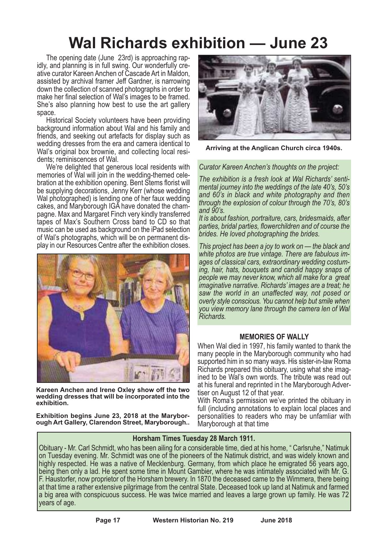# **Wal Richards exhibition — June 23**

The opening date (June 23rd) is approaching rapidly, and planning is in full swing. Our wonderfully creative curator Kareen Anchen of Cascade Art in Maldon, assisted by archival framer Jeff Gardner, is narrowing down the collection of scanned photographs in order to make her final selection of Wal's images to be framed. She's also planning how best to use the art gallery space.

Historical Society volunteers have been providing background information about Wal and his family and friends, and seeking out artefacts for display such as wedding dresses from the era and camera identical to Wal's original box brownie, and collecting local residents; reminiscences of Wal.

We're delighted that generous local residents with memories of Wal will join in the wedding-themed celebration at the exhibition opening. Bent Stems florist will be supplying decorations, Jenny Kerr (whose wedding Wal photographed) is lending one of her faux wedding cakes, and Maryborough IGA have donated the champagne. Max and Margaret Finch very kindly transferred tapes of Max's Southern Cross band to CD so that music can be used as background on the iPad selection of Wal's photographs, which will be on permanent display in our Resources Centre after the exhibition closes.



**Kareen Anchen and Irene Oxley show off the two wedding dresses that will be incorporated into the exhibition.**

**Exhibition begins June 23, 2018 at the Maryborough Art Gallery, Clarendon Street, Maryborough..**



**Arriving at the Anglican Church circa 1940s.**

*Curator Kareen Anchen's thoughts on the project:*

*The exhibition is a fresh look at Wal Richards' sentimental journey into the weddings of the late 40's, 50's and 60's in black and white photography and then through the explosion of colour through the 70's, 80's and 90's.*

*It is about fashion, portraiture, cars, bridesmaids, after parties, bridal parties, flowerchildren and of course the brides. He loved photographing the brides.*

*This project has been a joy to work on — the black and white photos are true vintage. There are fabulous images of classical cars, extraordinary wedding costuming, hair, hats, bouquets and candid happy snaps of people we may never know, which all make for a great imaginative narrative. Richards' images are a treat; he saw the world in an unaffected way, not posed or overly style conscious. You cannot help but smile when you view memory lane through the camera len of Wal Richards.*

## **MEMORIES OF WALLY**

When Wal died in 1997, his family wanted to thank the many people in the Maryborough community who had supported him in so many ways. His sister-in-law Roma Richards prepared this obituary, using what she imagined to be Wal's own words. The tribute was read out at his funeral and reprinted in t he Maryborough Advertiser on August 12 of that year.

With Roma's permission we've printed the obituary in full (including annotations to explain local places and personalities to readers who may be unfamliar with Maryborough at that time

## **Horsham Times Tuesday 28 March 1911.**

Obituary - Mr. Carl Schmidt, who has been ailing for a considerable time, died at his home, " Carlsruhe," Natimuk on Tuesday evening. Mr. Schmidt was one of the pioneers of the Natimuk district, and was widely known and highly respected. He was a native of Mecklenburg. Germany, from which place he emigrated 56 years ago, being then only a lad. He spent some time in Mount Gambier, where he was intimately associated with Mr. G.<br>F. Haustorfe at that time a rather extensive pilgrimage from the central State. Deceased took up land at Natimuk and farmed a big area with conspicuous success. He was twice married and leaves a large grown up family. He was 72 years of age.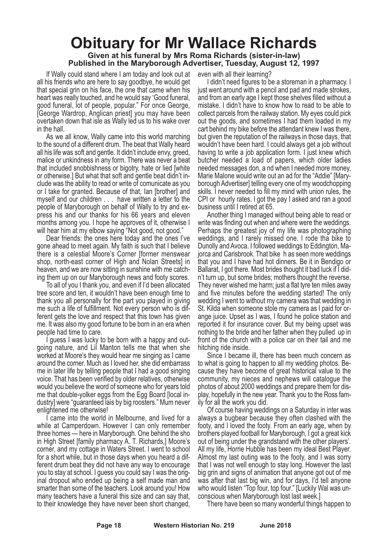## **Obituary for Mr Wallace Richards Given at his funeral by Mrs Roma Richards (sister-in-law) Published in the Maryborough Advertiser, Tuesday, August 12, 1997**

If Wally could stand where I am today and look out at all his friends who are here to say goodbye, he would get that special grin on his face, the one that came when his heart was really touched, and he would say 'Good funeral, good funeral, lot of people, popular." For once George, [George Wardrop, Anglican priest] you may have been overtaken down that isle as Wally led us to his wake over in the hall.

As we all know, Wally came into this world marching to the sound of a different drum. The beat that Wally heard all his life was soft and gentle. It didn't include envy, greed, malice or unkindness in any form. There was never a beat that included snobbishness or bigotry, hate or lied [white or otherwise.] But what that soft and gentle beat didn't include was the ability to read or write of comunicate as you or I take for granted. Because of that, Ian [brother] and myself and our children . . . have written a letter to the people of Maryborough on behalf of Wally to try and express his and our thanks for his 66 years and eleven months among you. I hope he approves of it, otherwise I will hear him at my elbow saying "Not good, not good."

Dear friends: the ones here today and the ones I've gone ahead to meet again. My faith is such that I believe there is a celestial Moore's Corner [former menswear shop, north-east corner of High and Nolan Streets] in heaven, and we are now sitting in sunshine with me catching them up on our Maryborough news and footy scores.

To all of you I thank you, and even if I'd been allocated tree score and ten, it wouldn't have been enough time to thank you all personally for the part you played in giving me such a life of fulfillment. Not every person who is different gets the love and respect that this town has given me. It was also my good fortune to be born in an era when people had time to care.

guess I was lucky to be born with a happy and outgoing nature, and Lil Manton tells me that when she worked at Moore's they would hear me singing as I came around the corner. Much as I loved her, she did embarrass me in later life by telling people that I had a good singing voice. That has been verified by older relatives, otherwise would you believe the word of someone who for years told me that double-yolker eggs from the Egg Board [local industry] were "guaranteed lais by big roosters." Mum never enlightened me otherwise!

I came into the world in Melbourne, and lived for a while at Camperdown. However I can only remember three homes — here in Maryborough. One behind the sho in High Street [family pharmacy A. T. Richards,] Moore's corner, and my cottage in Waters Street. I went to school for a short while, but in those days when you heard a different drum beat they did not have any way to encourage you to stay at school. I guess you could say I was the original dropout who ended up being a self made man and smarter than some of the teachers. Look around you! How many teachers have a funeral this size and can say that, to their knowledge they have never been short changed,

even with all their learning?

I didn't need figures to be a storeman in a pharmacy. I just went around with a pencil and pad and made strokes, and from an early age I kept those shelves filled without a mistake. I didn't have to know how to read to be able to collect parcels from the railway station. My eyes could pick out the goods, and sometimes I had them loaded in my cart behind my bike before the attendant knew I was there, but given the reputation of the railways in those days, that wouldn't have been hard. I could always get a job without having to write a job application form. I just knew which butcher needed a load of papers, which older ladies needed messages don, a nd when I needed more money, Marie Malone would write out an ad for the "Addie" [Maryborough Advertiser] telling every one of my woodchopping skills. I never needed to fill my mind with union rules, the CPI or hourly rates. I got the pay I asked and ran a good business until I retired at 65.

Another thing I managed without being able to read or write was finding out when and where were the weddings. Perhaps the greatest joy of my life was photographing weddings, and I rarely missed one. I rode tha bike to Dunolly and Avoca. I followed weddings to Eddington, Majorca and Carisbrook. That bike h as seen more weddings that you and I have had hot dinners. Be it in Bendigo or Ballarat, I got there. Most brides thought it bad luck if I didn't turn up, but some brides; mothers thought the reverse. They never wished me harm; just a flat tyre ten miles away and five minutes before the wedding started! The only wedding I went to without my camera was that wedding in St. Kilda when someone stole my camera as I paid for orange juice. Upset as I was, I found he police station and reported it for insurance cover. But my being upset was nothing to the bride and her father when they pulled up in front of the church with a police car on their tail and me hitching ride inside.

Since I became ill, there has been much concern as to what is going to happen to all my wedding photos. Because they have become of great historical value to the community, my nieces and nephews will catalogue the photos of about 2000 weddings and prepare them for display, hopefully in the new year. Thank you to the Ross family for all the work you did.

Of course having weddings on a Saturday in inter was always a bugbear because they often clashed with the footy, and I loved the footy. From an early age, when by brothers played football for Maryborough, I got a great kick out of being under the grandstand with the other players'. All my life, Horrie Hubble has been my ideal Best Player. Almost my last outing was to the footy, and I was sorry that I was not well enough to stay long. However the last big grin and signs of animation that anyone got out of me was after that last big win, and for days, I'd tell anyone who would listen "Top four, top four." [Luckily Wal was unconscious when Maryborough lost last week.]

There have been so many wonderful things happen to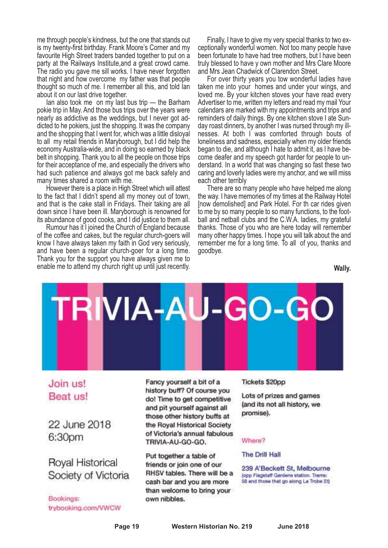me through people's kindness, but the one that stands out is my twenty-first birthday. Frank Moore's Corner and my favourite High Street traders banded together to put on a party at the Railways Institute,and a great crowd came. The radio you gave me sill works. I have never forgotten that night and how overcome my father was that people thought so much of me. I remember all this, and told Ian about it on our last drive together.

Ian also took me on my last bus trip — the Barham pokie trip in May. And those bus trips over the years were nearly as addictive as the weddings, but I never got addicted to he pokiers, just the shopping. It was the company and the shopping that I went for, which was a little disloyal to all my retail friends in Maryborough, but I did help the economy Australia-wide, and in doing so earned by black belt in shopping. Thank you to all the people on those trips for their acceptance of me, and especially the drivers who had such patience and always got me back safely and many times shared a room with me.

However there is a place in High Street which will attest to the fact that I didn't spend all my money out of town, and that is the cake stall in Fridays. Their taking are all down since I have been ill. Maryborough is renowned for its abundance of good cooks, and I did justice to them all.

Rumour has it I joined the Church of England because of the coffee and cakes, but the regular church-goers will know I have always taken my faith in God very seriously, and have been a regular church-goer for a long time. Thank you for the support you have always given me to enable me to attend my church right up until just recently.

Finally, I have to give my very special thanks to two exceptionally wonderful women. Not too many people have been fortunate to have had tree mothers, but I have been truly blessed to have y own mother and Mrs Clare Moore and Mrs Jean Chadwick of Clarendon Street.

For over thirty years you tow wonderful ladies have taken me into your homes and under your wings, and loved me. By your kitchen stoves your have read every Advertiser to me, written my letters and read my mail Your calendars are marked with my appointments and trips and reminders of daily things. By one kitchen stove I ate Sunday roast dinners, by another I was nursed through my illnesses. At both I was comforted through bouts of loneliness and sadness, especially when my older friends began to die, and although I hate to admit it, as I have become deafer and my speech got harder for people to understand. In a world that was changing so fast these two caring and loverly ladies were my anchor, and we will miss each other terribly

There are so many people who have helped me along the way. I have memories of my times at the Railway Hotel [now demolished] and Park Hotel. For th car rides given to me by so many people to so many functions, to the football and netball clubs and the C.W.A. ladies, my grateful thanks. Those of you who are here today will remember many other happy times. I hope you will talk about the and remember me for a long time. To all of you, thanks and goodbye.

**Wally.**



## Join us! Beat us!

22 June 2018 6:30pm

Royal Historical Society of Victoria

Bookings: trybooking.com/VWCW

Fancy yourself a bit of a history buff? Of course you do! Time to get competitive and pit yourself against all those other history buffs at the Royal Historical Society of Victoria's annual fabulous TRIVIA-AU-GO-GO.

Put together a table of friends or join one of our RHSV tables. There will be a cash bar and you are more than welcome to bring your own nibbles.

#### Tickets \$20pp

Lots of prizes and games (and its not all history, we promise).

#### Where?

#### The Drill Hall

239 A'Beckett St, Melbourne (opp Flagstaff Gardens station, Trams; 58 and those that go along La Trobe StJ